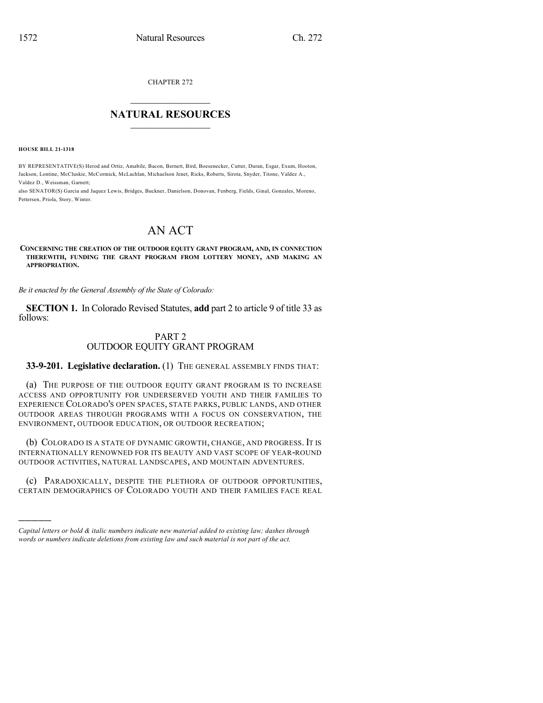CHAPTER 272

## $\overline{\phantom{a}}$  . The set of the set of the set of the set of the set of the set of the set of the set of the set of the set of the set of the set of the set of the set of the set of the set of the set of the set of the set o **NATURAL RESOURCES**  $\frac{1}{\sqrt{2}}$  , where  $\frac{1}{\sqrt{2}}$  ,  $\frac{1}{\sqrt{2}}$  ,  $\frac{1}{\sqrt{2}}$

**HOUSE BILL 21-1318**

)))))

BY REPRESENTATIVE(S) Herod and Ortiz, Amabile, Bacon, Bernett, Bird, Boesenecker, Cutter, Duran, Esgar, Exum, Hooton, Jackson, Lontine, McCluskie, McCormick, McLachlan, Michaelson Jenet, Ricks, Roberts, Sirota, Snyder, Titone, Valdez A., Valdez D., Weissman, Garnett;

also SENATOR(S) Garcia and Jaquez Lewis, Bridges, Buckner, Danielson, Donovan, Fenberg, Fields, Ginal, Gonzales, Moreno, Pettersen, Priola, Story, Winter.

# AN ACT

#### **CONCERNING THE CREATION OF THE OUTDOOR EQUITY GRANT PROGRAM, AND, IN CONNECTION THEREWITH, FUNDING THE GRANT PROGRAM FROM LOTTERY MONEY, AND MAKING AN APPROPRIATION.**

*Be it enacted by the General Assembly of the State of Colorado:*

**SECTION 1.** In Colorado Revised Statutes, **add** part 2 to article 9 of title 33 as follows:

### PART 2 OUTDOOR EQUITY GRANT PROGRAM

**33-9-201. Legislative declaration.** (1) THE GENERAL ASSEMBLY FINDS THAT:

(a) THE PURPOSE OF THE OUTDOOR EQUITY GRANT PROGRAM IS TO INCREASE ACCESS AND OPPORTUNITY FOR UNDERSERVED YOUTH AND THEIR FAMILIES TO EXPERIENCE COLORADO'S OPEN SPACES, STATE PARKS, PUBLIC LANDS, AND OTHER OUTDOOR AREAS THROUGH PROGRAMS WITH A FOCUS ON CONSERVATION, THE ENVIRONMENT, OUTDOOR EDUCATION, OR OUTDOOR RECREATION;

(b) COLORADO IS A STATE OF DYNAMIC GROWTH, CHANGE, AND PROGRESS. IT IS INTERNATIONALLY RENOWNED FOR ITS BEAUTY AND VAST SCOPE OF YEAR-ROUND OUTDOOR ACTIVITIES, NATURAL LANDSCAPES, AND MOUNTAIN ADVENTURES.

(c) PARADOXICALLY, DESPITE THE PLETHORA OF OUTDOOR OPPORTUNITIES, CERTAIN DEMOGRAPHICS OF COLORADO YOUTH AND THEIR FAMILIES FACE REAL

*Capital letters or bold & italic numbers indicate new material added to existing law; dashes through words or numbers indicate deletions from existing law and such material is not part of the act.*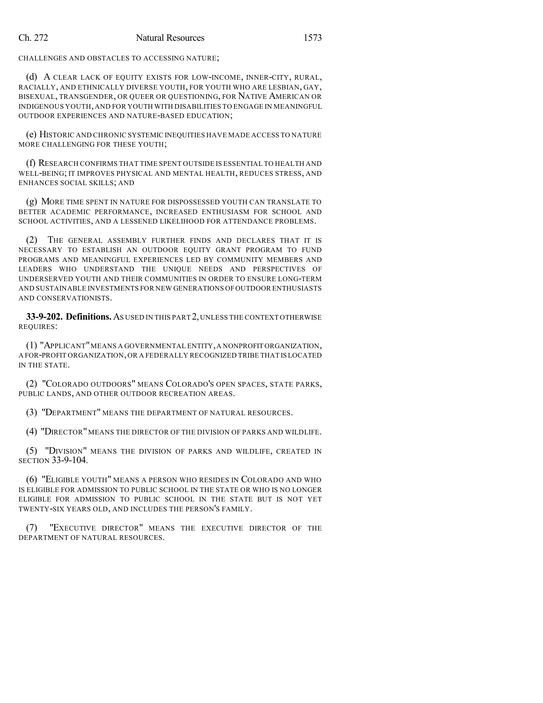CHALLENGES AND OBSTACLES TO ACCESSING NATURE;

(d) A CLEAR LACK OF EQUITY EXISTS FOR LOW-INCOME, INNER-CITY, RURAL, RACIALLY, AND ETHNICALLY DIVERSE YOUTH, FOR YOUTH WHO ARE LESBIAN, GAY, BISEXUAL, TRANSGENDER, OR QUEER OR QUESTIONING, FOR NATIVE AMERICAN OR INDIGENOUS YOUTH,AND FOR YOUTH WITH DISABILITIES TO ENGAGE IN MEANINGFUL OUTDOOR EXPERIENCES AND NATURE-BASED EDUCATION;

(e) HISTORIC AND CHRONIC SYSTEMIC INEQUITIES HAVE MADE ACCESS TO NATURE MORE CHALLENGING FOR THESE YOUTH;

(f) RESEARCH CONFIRMS THAT TIME SPENT OUTSIDE IS ESSENTIAL TO HEALTH AND WELL-BEING; IT IMPROVES PHYSICAL AND MENTAL HEALTH, REDUCES STRESS, AND ENHANCES SOCIAL SKILLS; AND

(g) MORE TIME SPENT IN NATURE FOR DISPOSSESSED YOUTH CAN TRANSLATE TO BETTER ACADEMIC PERFORMANCE, INCREASED ENTHUSIASM FOR SCHOOL AND SCHOOL ACTIVITIES, AND A LESSENED LIKELIHOOD FOR ATTENDANCE PROBLEMS.

(2) THE GENERAL ASSEMBLY FURTHER FINDS AND DECLARES THAT IT IS NECESSARY TO ESTABLISH AN OUTDOOR EQUITY GRANT PROGRAM TO FUND PROGRAMS AND MEANINGFUL EXPERIENCES LED BY COMMUNITY MEMBERS AND LEADERS WHO UNDERSTAND THE UNIQUE NEEDS AND PERSPECTIVES OF UNDERSERVED YOUTH AND THEIR COMMUNITIES IN ORDER TO ENSURE LONG-TERM AND SUSTAINABLE INVESTMENTS FOR NEW GENERATIONS OFOUTDOOR ENTHUSIASTS AND CONSERVATIONISTS.

**33-9-202. Definitions.**AS USED IN THIS PART 2,UNLESS THE CONTEXT OTHERWISE REQUIRES:

(1) "APPLICANT"MEANS A GOVERNMENTAL ENTITY,A NONPROFIT ORGANIZATION, A FOR-PROFIT ORGANIZATION,OR A FEDERALLY RECOGNIZED TRIBE THAT IS LOCATED IN THE STATE.

(2) "COLORADO OUTDOORS" MEANS COLORADO'S OPEN SPACES, STATE PARKS, PUBLIC LANDS, AND OTHER OUTDOOR RECREATION AREAS.

(3) "DEPARTMENT" MEANS THE DEPARTMENT OF NATURAL RESOURCES.

(4) "DIRECTOR" MEANS THE DIRECTOR OF THE DIVISION OF PARKS AND WILDLIFE.

(5) "DIVISION" MEANS THE DIVISION OF PARKS AND WILDLIFE, CREATED IN SECTION 33-9-104.

(6) "ELIGIBLE YOUTH" MEANS A PERSON WHO RESIDES IN COLORADO AND WHO IS ELIGIBLE FOR ADMISSION TO PUBLIC SCHOOL IN THE STATE OR WHO IS NO LONGER ELIGIBLE FOR ADMISSION TO PUBLIC SCHOOL IN THE STATE BUT IS NOT YET TWENTY-SIX YEARS OLD, AND INCLUDES THE PERSON'S FAMILY.

(7) "EXECUTIVE DIRECTOR" MEANS THE EXECUTIVE DIRECTOR OF THE DEPARTMENT OF NATURAL RESOURCES.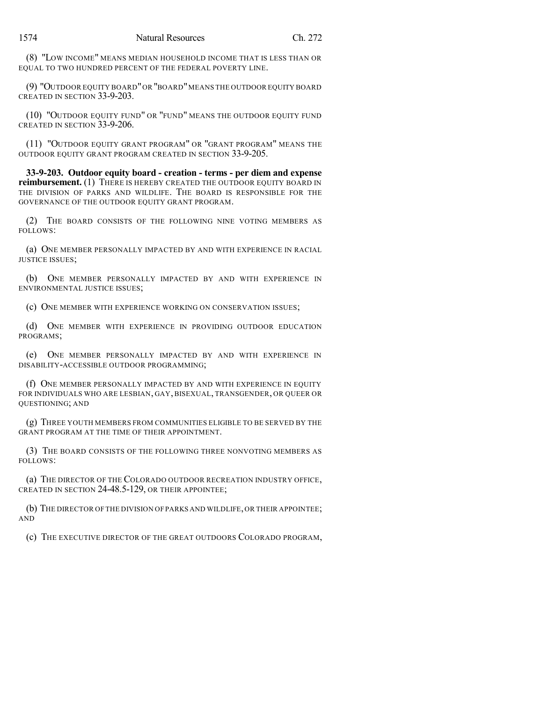(8) "LOW INCOME" MEANS MEDIAN HOUSEHOLD INCOME THAT IS LESS THAN OR EQUAL TO TWO HUNDRED PERCENT OF THE FEDERAL POVERTY LINE.

(9) "OUTDOOR EQUITY BOARD"OR "BOARD"MEANS THE OUTDOOR EQUITY BOARD CREATED IN SECTION 33-9-203.

(10) "OUTDOOR EQUITY FUND" OR "FUND" MEANS THE OUTDOOR EQUITY FUND CREATED IN SECTION 33-9-206.

(11) "OUTDOOR EQUITY GRANT PROGRAM" OR "GRANT PROGRAM" MEANS THE OUTDOOR EQUITY GRANT PROGRAM CREATED IN SECTION 33-9-205.

**33-9-203. Outdoor equity board - creation - terms - per diem and expense reimbursement.** (1) THERE IS HEREBY CREATED THE OUTDOOR EQUITY BOARD IN THE DIVISION OF PARKS AND WILDLIFE. THE BOARD IS RESPONSIBLE FOR THE GOVERNANCE OF THE OUTDOOR EQUITY GRANT PROGRAM.

(2) THE BOARD CONSISTS OF THE FOLLOWING NINE VOTING MEMBERS AS FOLLOWS:

(a) ONE MEMBER PERSONALLY IMPACTED BY AND WITH EXPERIENCE IN RACIAL JUSTICE ISSUES;

(b) ONE MEMBER PERSONALLY IMPACTED BY AND WITH EXPERIENCE IN ENVIRONMENTAL JUSTICE ISSUES;

(c) ONE MEMBER WITH EXPERIENCE WORKING ON CONSERVATION ISSUES;

(d) ONE MEMBER WITH EXPERIENCE IN PROVIDING OUTDOOR EDUCATION PROGRAMS;

(e) ONE MEMBER PERSONALLY IMPACTED BY AND WITH EXPERIENCE IN DISABILITY-ACCESSIBLE OUTDOOR PROGRAMMING;

(f) ONE MEMBER PERSONALLY IMPACTED BY AND WITH EXPERIENCE IN EQUITY FOR INDIVIDUALS WHO ARE LESBIAN, GAY, BISEXUAL, TRANSGENDER, OR QUEER OR QUESTIONING; AND

(g) THREE YOUTH MEMBERS FROM COMMUNITIES ELIGIBLE TO BE SERVED BY THE GRANT PROGRAM AT THE TIME OF THEIR APPOINTMENT.

(3) THE BOARD CONSISTS OF THE FOLLOWING THREE NONVOTING MEMBERS AS FOLLOWS:

(a) THE DIRECTOR OF THE COLORADO OUTDOOR RECREATION INDUSTRY OFFICE, CREATED IN SECTION 24-48.5-129, OR THEIR APPOINTEE;

(b) THE DIRECTOR OFTHE DIVISION OFPARKS AND WILDLIFE,OR THEIR APPOINTEE; AND

(c) THE EXECUTIVE DIRECTOR OF THE GREAT OUTDOORS COLORADO PROGRAM,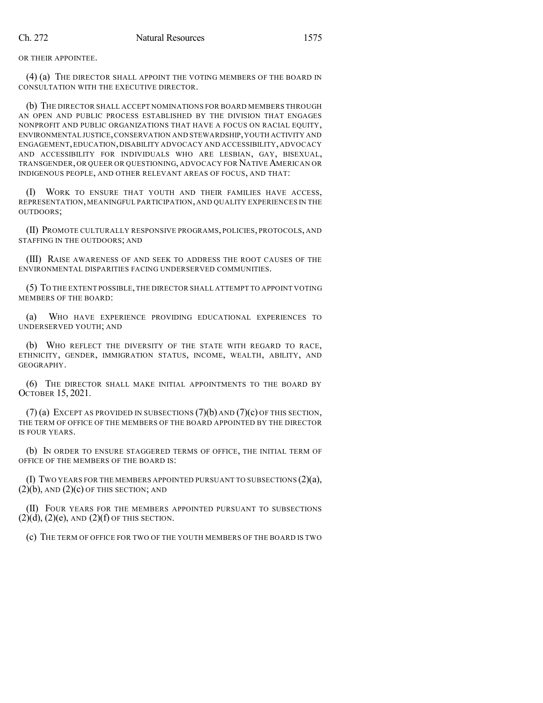OR THEIR APPOINTEE.

(4) (a) THE DIRECTOR SHALL APPOINT THE VOTING MEMBERS OF THE BOARD IN CONSULTATION WITH THE EXECUTIVE DIRECTOR.

(b) THE DIRECTOR SHALL ACCEPT NOMINATIONS FOR BOARD MEMBERS THROUGH AN OPEN AND PUBLIC PROCESS ESTABLISHED BY THE DIVISION THAT ENGAGES NONPROFIT AND PUBLIC ORGANIZATIONS THAT HAVE A FOCUS ON RACIAL EQUITY, ENVIRONMENTAL JUSTICE,CONSERVATION AND STEWARDSHIP,YOUTH ACTIVITY AND ENGAGEMENT,EDUCATION,DISABILITY ADVOCACY AND ACCESSIBILITY,ADVOCACY AND ACCESSIBILITY FOR INDIVIDUALS WHO ARE LESBIAN, GAY, BISEXUAL, TRANSGENDER, OR QUEER OR QUESTIONING, ADVOCACY FOR NATIVE AMERICAN OR INDIGENOUS PEOPLE, AND OTHER RELEVANT AREAS OF FOCUS, AND THAT:

(I) WORK TO ENSURE THAT YOUTH AND THEIR FAMILIES HAVE ACCESS, REPRESENTATION, MEANINGFUL PARTICIPATION, AND QUALITY EXPERIENCES IN THE OUTDOORS;

(II) PROMOTE CULTURALLY RESPONSIVE PROGRAMS, POLICIES, PROTOCOLS, AND STAFFING IN THE OUTDOORS; AND

(III) RAISE AWARENESS OF AND SEEK TO ADDRESS THE ROOT CAUSES OF THE ENVIRONMENTAL DISPARITIES FACING UNDERSERVED COMMUNITIES.

(5) TO THE EXTENT POSSIBLE,THE DIRECTOR SHALL ATTEMPT TO APPOINT VOTING MEMBERS OF THE BOARD:

(a) WHO HAVE EXPERIENCE PROVIDING EDUCATIONAL EXPERIENCES TO UNDERSERVED YOUTH; AND

(b) WHO REFLECT THE DIVERSITY OF THE STATE WITH REGARD TO RACE, ETHNICITY, GENDER, IMMIGRATION STATUS, INCOME, WEALTH, ABILITY, AND GEOGRAPHY.

(6) THE DIRECTOR SHALL MAKE INITIAL APPOINTMENTS TO THE BOARD BY OCTOBER 15, 2021.

 $(7)$  (a) EXCEPT AS PROVIDED IN SUBSECTIONS  $(7)$ (b) AND  $(7)$ (c) OF THIS SECTION, THE TERM OF OFFICE OF THE MEMBERS OF THE BOARD APPOINTED BY THE DIRECTOR IS FOUR YEARS.

(b) IN ORDER TO ENSURE STAGGERED TERMS OF OFFICE, THE INITIAL TERM OF OFFICE OF THE MEMBERS OF THE BOARD IS:

(I) TWO YEARS FOR THE MEMBERS APPOINTED PURSUANT TO SUBSECTIONS (2)(a),  $(2)(b)$ , AND  $(2)(c)$  OF THIS SECTION; AND

(II) FOUR YEARS FOR THE MEMBERS APPOINTED PURSUANT TO SUBSECTIONS  $(2)(d)$ ,  $(2)(e)$ , AND  $(2)(f)$  OF THIS SECTION.

(c) THE TERM OF OFFICE FOR TWO OF THE YOUTH MEMBERS OF THE BOARD IS TWO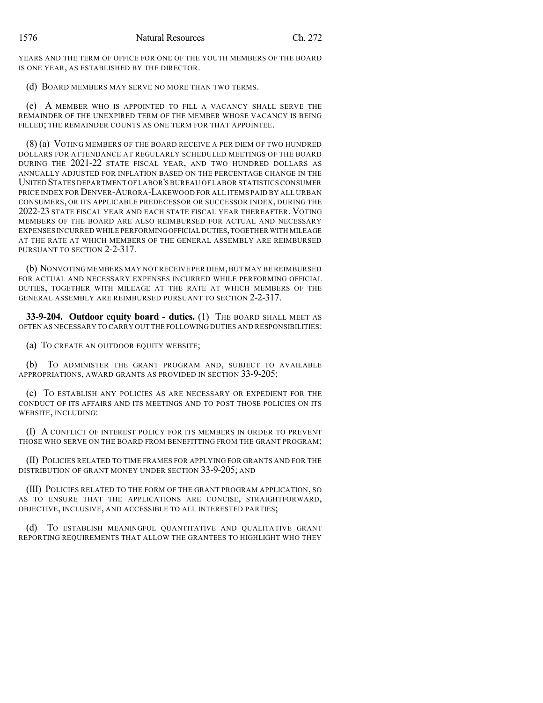YEARS AND THE TERM OF OFFICE FOR ONE OF THE YOUTH MEMBERS OF THE BOARD IS ONE YEAR, AS ESTABLISHED BY THE DIRECTOR.

(d) BOARD MEMBERS MAY SERVE NO MORE THAN TWO TERMS.

(e) A MEMBER WHO IS APPOINTED TO FILL A VACANCY SHALL SERVE THE REMAINDER OF THE UNEXPIRED TERM OF THE MEMBER WHOSE VACANCY IS BEING FILLED; THE REMAINDER COUNTS AS ONE TERM FOR THAT APPOINTEE.

(8) (a) VOTING MEMBERS OF THE BOARD RECEIVE A PER DIEM OF TWO HUNDRED DOLLARS FOR ATTENDANCE AT REGULARLY SCHEDULED MEETINGS OF THE BOARD DURING THE 2021-22 STATE FISCAL YEAR, AND TWO HUNDRED DOLLARS AS ANNUALLY ADJUSTED FOR INFLATION BASED ON THE PERCENTAGE CHANGE IN THE UNITED STATES DEPARTMENT OF LABOR'S BUREAU OFLABOR STATISTICS CONSUMER PRICE INDEX FOR DENVER-AURORA-LAKEWOOD FOR ALL ITEMS PAID BY ALL URBAN CONSUMERS, OR ITS APPLICABLE PREDECESSOR OR SUCCESSOR INDEX, DURING THE 2022-23 STATE FISCAL YEAR AND EACH STATE FISCAL YEAR THEREAFTER. VOTING MEMBERS OF THE BOARD ARE ALSO REIMBURSED FOR ACTUAL AND NECESSARY EXPENSES INCURRED WHILE PERFORMINGOFFICIAL DUTIES,TOGETHER WITH MILEAGE AT THE RATE AT WHICH MEMBERS OF THE GENERAL ASSEMBLY ARE REIMBURSED PURSUANT TO SECTION 2-2-317.

(b) NONVOTING MEMBERS MAY NOT RECEIVE PER DIEM,BUT MAY BE REIMBURSED FOR ACTUAL AND NECESSARY EXPENSES INCURRED WHILE PERFORMING OFFICIAL DUTIES, TOGETHER WITH MILEAGE AT THE RATE AT WHICH MEMBERS OF THE GENERAL ASSEMBLY ARE REIMBURSED PURSUANT TO SECTION 2-2-317.

**33-9-204. Outdoor equity board - duties.** (1) THE BOARD SHALL MEET AS OFTEN AS NECESSARY TO CARRY OUT THE FOLLOWING DUTIES AND RESPONSIBILITIES:

(a) TO CREATE AN OUTDOOR EQUITY WEBSITE;

(b) TO ADMINISTER THE GRANT PROGRAM AND, SUBJECT TO AVAILABLE APPROPRIATIONS, AWARD GRANTS AS PROVIDED IN SECTION 33-9-205;

(c) TO ESTABLISH ANY POLICIES AS ARE NECESSARY OR EXPEDIENT FOR THE CONDUCT OF ITS AFFAIRS AND ITS MEETINGS AND TO POST THOSE POLICIES ON ITS WEBSITE, INCLUDING:

(I) A CONFLICT OF INTEREST POLICY FOR ITS MEMBERS IN ORDER TO PREVENT THOSE WHO SERVE ON THE BOARD FROM BENEFITTING FROM THE GRANT PROGRAM;

(II) POLICIES RELATED TO TIME FRAMES FOR APPLYING FOR GRANTS AND FOR THE DISTRIBUTION OF GRANT MONEY UNDER SECTION 33-9-205; AND

(III) POLICIES RELATED TO THE FORM OF THE GRANT PROGRAM APPLICATION, SO AS TO ENSURE THAT THE APPLICATIONS ARE CONCISE, STRAIGHTFORWARD, OBJECTIVE, INCLUSIVE, AND ACCESSIBLE TO ALL INTERESTED PARTIES;

(d) TO ESTABLISH MEANINGFUL QUANTITATIVE AND QUALITATIVE GRANT REPORTING REQUIREMENTS THAT ALLOW THE GRANTEES TO HIGHLIGHT WHO THEY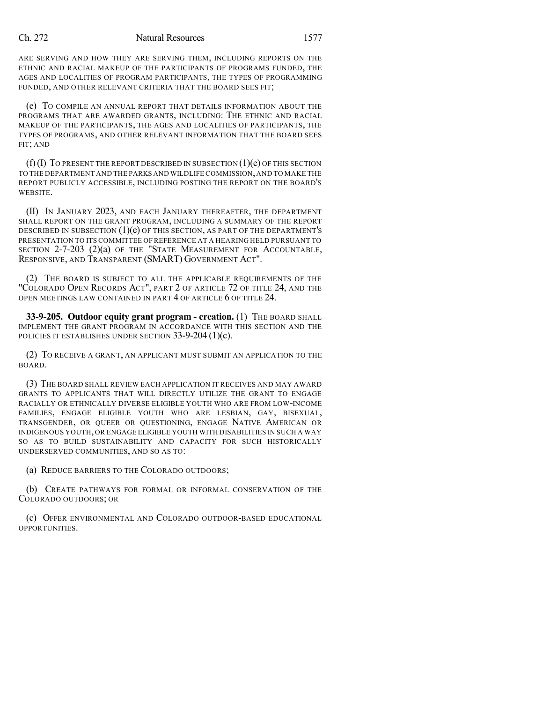#### Ch. 272 Natural Resources 1577

ARE SERVING AND HOW THEY ARE SERVING THEM, INCLUDING REPORTS ON THE ETHNIC AND RACIAL MAKEUP OF THE PARTICIPANTS OF PROGRAMS FUNDED, THE AGES AND LOCALITIES OF PROGRAM PARTICIPANTS, THE TYPES OF PROGRAMMING FUNDED, AND OTHER RELEVANT CRITERIA THAT THE BOARD SEES FIT;

(e) TO COMPILE AN ANNUAL REPORT THAT DETAILS INFORMATION ABOUT THE PROGRAMS THAT ARE AWARDED GRANTS, INCLUDING: THE ETHNIC AND RACIAL MAKEUP OF THE PARTICIPANTS, THE AGES AND LOCALITIES OF PARTICIPANTS, THE TYPES OF PROGRAMS, AND OTHER RELEVANT INFORMATION THAT THE BOARD SEES FIT; AND

 $(f)(I)$  To present the report described in subsection  $(1)(e)$  of this section TO THE DEPARTMENT AND THE PARKS AND WILDLIFE COMMISSION,AND TO MAKE THE REPORT PUBLICLY ACCESSIBLE, INCLUDING POSTING THE REPORT ON THE BOARD'S WEBSITE.

(II) IN JANUARY 2023, AND EACH JANUARY THEREAFTER, THE DEPARTMENT SHALL REPORT ON THE GRANT PROGRAM, INCLUDING A SUMMARY OF THE REPORT DESCRIBED IN SUBSECTION  $(1)(e)$  OF THIS SECTION, AS PART OF THE DEPARTMENT'S PRESENTATION TO ITS COMMITTEE OFREFERENCE AT A HEARING HELD PURSUANT TO SECTION 2-7-203 (2)(a) OF THE "STATE MEASUREMENT FOR ACCOUNTABLE, RESPONSIVE, AND TRANSPARENT (SMART) GOVERNMENT ACT".

(2) THE BOARD IS SUBJECT TO ALL THE APPLICABLE REQUIREMENTS OF THE "COLORADO OPEN RECORDS ACT", PART 2 OF ARTICLE 72 OF TITLE 24, AND THE OPEN MEETINGS LAW CONTAINED IN PART 4 OF ARTICLE 6 OF TITLE 24.

**33-9-205. Outdoor equity grant program - creation.** (1) THE BOARD SHALL IMPLEMENT THE GRANT PROGRAM IN ACCORDANCE WITH THIS SECTION AND THE POLICIES IT ESTABLISHES UNDER SECTION 33-9-204 (1)(c).

(2) TO RECEIVE A GRANT, AN APPLICANT MUST SUBMIT AN APPLICATION TO THE BOARD.

(3) THE BOARD SHALL REVIEW EACH APPLICATION IT RECEIVES AND MAY AWARD GRANTS TO APPLICANTS THAT WILL DIRECTLY UTILIZE THE GRANT TO ENGAGE RACIALLY OR ETHNICALLY DIVERSE ELIGIBLE YOUTH WHO ARE FROM LOW-INCOME FAMILIES, ENGAGE ELIGIBLE YOUTH WHO ARE LESBIAN, GAY, BISEXUAL, TRANSGENDER, OR QUEER OR QUESTIONING, ENGAGE NATIVE AMERICAN OR INDIGENOUS YOUTH, OR ENGAGE ELIGIBLE YOUTH WITH DISABILITIES IN SUCH A WAY SO AS TO BUILD SUSTAINABILITY AND CAPACITY FOR SUCH HISTORICALLY UNDERSERVED COMMUNITIES, AND SO AS TO:

(a) REDUCE BARRIERS TO THE COLORADO OUTDOORS;

(b) CREATE PATHWAYS FOR FORMAL OR INFORMAL CONSERVATION OF THE COLORADO OUTDOORS; OR

(c) OFFER ENVIRONMENTAL AND COLORADO OUTDOOR-BASED EDUCATIONAL OPPORTUNITIES.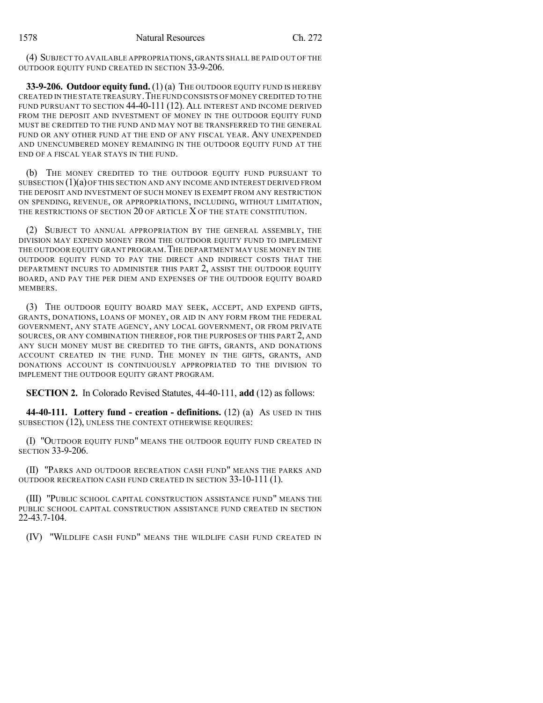(4) SUBJECT TO AVAILABLE APPROPRIATIONS, GRANTS SHALL BE PAID OUT OF THE OUTDOOR EQUITY FUND CREATED IN SECTION 33-9-206.

**33-9-206. Outdoor equity fund.** (1) (a) THE OUTDOOR EQUITY FUND IS HEREBY CREATED IN THE STATE TREASURY.THE FUND CONSISTS OF MONEY CREDITED TO THE FUND PURSUANT TO SECTION 44-40-111 (12). ALL INTEREST AND INCOME DERIVED FROM THE DEPOSIT AND INVESTMENT OF MONEY IN THE OUTDOOR EQUITY FUND MUST BE CREDITED TO THE FUND AND MAY NOT BE TRANSFERRED TO THE GENERAL FUND OR ANY OTHER FUND AT THE END OF ANY FISCAL YEAR. ANY UNEXPENDED AND UNENCUMBERED MONEY REMAINING IN THE OUTDOOR EQUITY FUND AT THE END OF A FISCAL YEAR STAYS IN THE FUND.

(b) THE MONEY CREDITED TO THE OUTDOOR EQUITY FUND PURSUANT TO SUBSECTION  $(1)(a)$  OF THIS SECTION AND ANY INCOME AND INTEREST DERIVED FROM THE DEPOSIT AND INVESTMENT OF SUCH MONEY IS EXEMPT FROM ANY RESTRICTION ON SPENDING, REVENUE, OR APPROPRIATIONS, INCLUDING, WITHOUT LIMITATION, THE RESTRICTIONS OF SECTION 20 OF ARTICLE X OF THE STATE CONSTITUTION.

(2) SUBJECT TO ANNUAL APPROPRIATION BY THE GENERAL ASSEMBLY, THE DIVISION MAY EXPEND MONEY FROM THE OUTDOOR EQUITY FUND TO IMPLEMENT THE OUTDOOR EQUITY GRANT PROGRAM. THE DEPARTMENT MAY USE MONEY IN THE OUTDOOR EQUITY FUND TO PAY THE DIRECT AND INDIRECT COSTS THAT THE DEPARTMENT INCURS TO ADMINISTER THIS PART 2, ASSIST THE OUTDOOR EQUITY BOARD, AND PAY THE PER DIEM AND EXPENSES OF THE OUTDOOR EQUITY BOARD MEMBERS.

(3) THE OUTDOOR EQUITY BOARD MAY SEEK, ACCEPT, AND EXPEND GIFTS, GRANTS, DONATIONS, LOANS OF MONEY, OR AID IN ANY FORM FROM THE FEDERAL GOVERNMENT, ANY STATE AGENCY, ANY LOCAL GOVERNMENT, OR FROM PRIVATE SOURCES, OR ANY COMBINATION THEREOF, FOR THE PURPOSES OF THIS PART 2, AND ANY SUCH MONEY MUST BE CREDITED TO THE GIFTS, GRANTS, AND DONATIONS ACCOUNT CREATED IN THE FUND. THE MONEY IN THE GIFTS, GRANTS, AND DONATIONS ACCOUNT IS CONTINUOUSLY APPROPRIATED TO THE DIVISION TO IMPLEMENT THE OUTDOOR EQUITY GRANT PROGRAM.

**SECTION 2.** In Colorado Revised Statutes, 44-40-111, **add** (12) as follows:

**44-40-111. Lottery fund - creation - definitions.** (12) (a) AS USED IN THIS SUBSECTION (12), UNLESS THE CONTEXT OTHERWISE REQUIRES:

(I) "OUTDOOR EQUITY FUND" MEANS THE OUTDOOR EQUITY FUND CREATED IN **SECTION 33-9-206.** 

(II) "PARKS AND OUTDOOR RECREATION CASH FUND" MEANS THE PARKS AND OUTDOOR RECREATION CASH FUND CREATED IN SECTION 33-10-111 (1).

(III) "PUBLIC SCHOOL CAPITAL CONSTRUCTION ASSISTANCE FUND" MEANS THE PUBLIC SCHOOL CAPITAL CONSTRUCTION ASSISTANCE FUND CREATED IN SECTION 22-43.7-104.

(IV) "WILDLIFE CASH FUND" MEANS THE WILDLIFE CASH FUND CREATED IN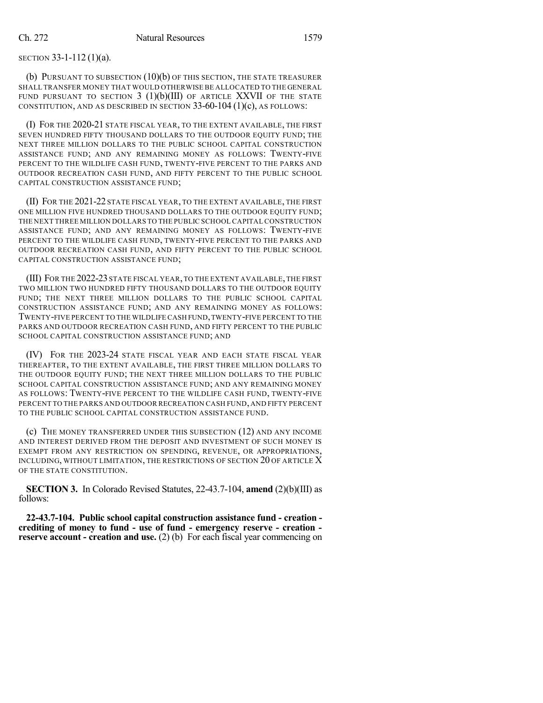### SECTION 33-1-112 (1)(a).

(b) PURSUANT TO SUBSECTION (10)(b) OF THIS SECTION, THE STATE TREASURER SHALL TRANSFER MONEY THAT WOULD OTHERWISE BE ALLOCATED TO THE GENERAL FUND PURSUANT TO SECTION  $3$  (1)(b)(III) OF ARTICLE XXVII OF THE STATE CONSTITUTION, AND AS DESCRIBED IN SECTION  $33-60-104$  (1)(c), AS FOLLOWS:

(I) FOR THE 2020-21 STATE FISCAL YEAR, TO THE EXTENT AVAILABLE, THE FIRST SEVEN HUNDRED FIFTY THOUSAND DOLLARS TO THE OUTDOOR EQUITY FUND; THE NEXT THREE MILLION DOLLARS TO THE PUBLIC SCHOOL CAPITAL CONSTRUCTION ASSISTANCE FUND; AND ANY REMAINING MONEY AS FOLLOWS: TWENTY-FIVE PERCENT TO THE WILDLIFE CASH FUND, TWENTY-FIVE PERCENT TO THE PARKS AND OUTDOOR RECREATION CASH FUND, AND FIFTY PERCENT TO THE PUBLIC SCHOOL CAPITAL CONSTRUCTION ASSISTANCE FUND;

(II) FOR THE 2021-22 STATE FISCAL YEAR, TO THE EXTENT AVAILABLE, THE FIRST ONE MILLION FIVE HUNDRED THOUSAND DOLLARS TO THE OUTDOOR EQUITY FUND: THE NEXT THREE MILLION DOLLARS TO THE PUBLIC SCHOOL CAPITAL CONSTRUCTION ASSISTANCE FUND; AND ANY REMAINING MONEY AS FOLLOWS: TWENTY-FIVE PERCENT TO THE WILDLIFE CASH FUND, TWENTY-FIVE PERCENT TO THE PARKS AND OUTDOOR RECREATION CASH FUND, AND FIFTY PERCENT TO THE PUBLIC SCHOOL CAPITAL CONSTRUCTION ASSISTANCE FUND;

(III) FOR THE 2022-23 STATE FISCAL YEAR,TO THE EXTENT AVAILABLE,THE FIRST TWO MILLION TWO HUNDRED FIFTY THOUSAND DOLLARS TO THE OUTDOOR EQUITY FUND; THE NEXT THREE MILLION DOLLARS TO THE PUBLIC SCHOOL CAPITAL CONSTRUCTION ASSISTANCE FUND; AND ANY REMAINING MONEY AS FOLLOWS: TWENTY-FIVE PERCENT TO THE WILDLIFE CASH FUND,TWENTY-FIVE PERCENT TO THE PARKS AND OUTDOOR RECREATION CASH FUND, AND FIFTY PERCENT TO THE PUBLIC SCHOOL CAPITAL CONSTRUCTION ASSISTANCE FUND; AND

(IV) FOR THE 2023-24 STATE FISCAL YEAR AND EACH STATE FISCAL YEAR THEREAFTER, TO THE EXTENT AVAILABLE, THE FIRST THREE MILLION DOLLARS TO THE OUTDOOR EQUITY FUND; THE NEXT THREE MILLION DOLLARS TO THE PUBLIC SCHOOL CAPITAL CONSTRUCTION ASSISTANCE FUND; AND ANY REMAINING MONEY AS FOLLOWS: TWENTY-FIVE PERCENT TO THE WILDLIFE CASH FUND, TWENTY-FIVE PERCENT TO THE PARKS AND OUTDOOR RECREATION CASH FUND,AND FIFTY PERCENT TO THE PUBLIC SCHOOL CAPITAL CONSTRUCTION ASSISTANCE FUND.

(c) THE MONEY TRANSFERRED UNDER THIS SUBSECTION (12) AND ANY INCOME AND INTEREST DERIVED FROM THE DEPOSIT AND INVESTMENT OF SUCH MONEY IS EXEMPT FROM ANY RESTRICTION ON SPENDING, REVENUE, OR APPROPRIATIONS, INCLUDING, WITHOUT LIMITATION, THE RESTRICTIONS OF SECTION 20 OF ARTICLE X OF THE STATE CONSTITUTION.

**SECTION 3.** In Colorado Revised Statutes, 22-43.7-104, **amend** (2)(b)(III) as follows:

**22-43.7-104. Public school capital construction assistance fund - creation crediting of money to fund - use of fund - emergency reserve - creation reserve account - creation and use.** (2) (b) For each fiscal year commencing on